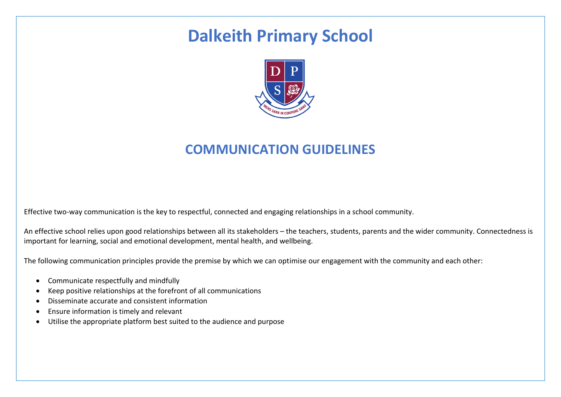# **Dalkeith Primary School**



## **COMMUNICATION GUIDELINES**

Effective two-way communication is the key to respectful, connected and engaging relationships in a school community.

An effective school relies upon good relationships between all its stakeholders – the teachers, students, parents and the wider community. Connectedness is important for learning, social and emotional development, mental health, and wellbeing.

The following communication principles provide the premise by which we can optimise our engagement with the community and each other:

- Communicate respectfully and mindfully
- Keep positive relationships at the forefront of all communications
- Disseminate accurate and consistent information
- Ensure information is timely and relevant
- Utilise the appropriate platform best suited to the audience and purpose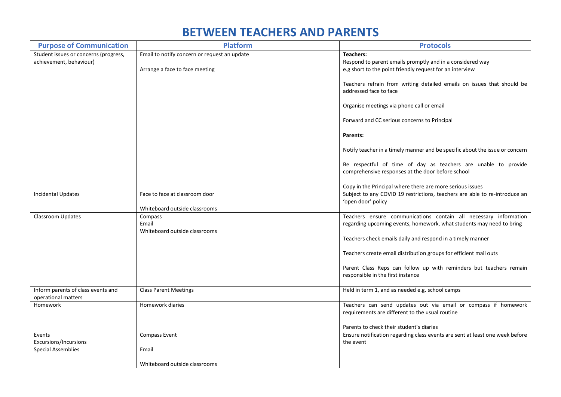#### **BETWEEN TEACHERS AND PARENTS**

| <b>Purpose of Communication</b>                                  | <b>Platform</b>                                                                | <b>Protocols</b>                                                                                                                          |
|------------------------------------------------------------------|--------------------------------------------------------------------------------|-------------------------------------------------------------------------------------------------------------------------------------------|
| Student issues or concerns (progress,<br>achievement, behaviour) | Email to notify concern or request an update<br>Arrange a face to face meeting | <b>Teachers:</b><br>Respond to parent emails promptly and in a considered way<br>e.g short to the point friendly request for an interview |
|                                                                  |                                                                                | Teachers refrain from writing detailed emails on issues that should be<br>addressed face to face                                          |
|                                                                  |                                                                                | Organise meetings via phone call or email                                                                                                 |
|                                                                  |                                                                                | Forward and CC serious concerns to Principal                                                                                              |
|                                                                  |                                                                                | Parents:                                                                                                                                  |
|                                                                  |                                                                                | Notify teacher in a timely manner and be specific about the issue or concern                                                              |
|                                                                  |                                                                                | Be respectful of time of day as teachers are unable to provide<br>comprehensive responses at the door before school                       |
|                                                                  |                                                                                | Copy in the Principal where there are more serious issues                                                                                 |
| <b>Incidental Updates</b>                                        | Face to face at classroom door                                                 | Subject to any COVID 19 restrictions, teachers are able to re-introduce an<br>'open door' policy                                          |
| Classroom Updates                                                | Whiteboard outside classrooms                                                  | Teachers ensure communications contain all necessary information                                                                          |
|                                                                  | Compass<br>Email<br>Whiteboard outside classrooms                              | regarding upcoming events, homework, what students may need to bring                                                                      |
|                                                                  |                                                                                | Teachers check emails daily and respond in a timely manner                                                                                |
|                                                                  |                                                                                | Teachers create email distribution groups for efficient mail outs                                                                         |
|                                                                  |                                                                                | Parent Class Reps can follow up with reminders but teachers remain<br>responsible in the first instance                                   |
| Inform parents of class events and<br>operational matters        | <b>Class Parent Meetings</b>                                                   | Held in term 1, and as needed e.g. school camps                                                                                           |
| Homework                                                         | Homework diaries                                                               | Teachers can send updates out via email or compass if homework<br>requirements are different to the usual routine                         |
|                                                                  |                                                                                | Parents to check their student's diaries                                                                                                  |
| Events<br>Excursions/Incursions                                  | Compass Event                                                                  | Ensure notification regarding class events are sent at least one week before<br>the event                                                 |
| <b>Special Assemblies</b>                                        | Email                                                                          |                                                                                                                                           |
|                                                                  | Whiteboard outside classrooms                                                  |                                                                                                                                           |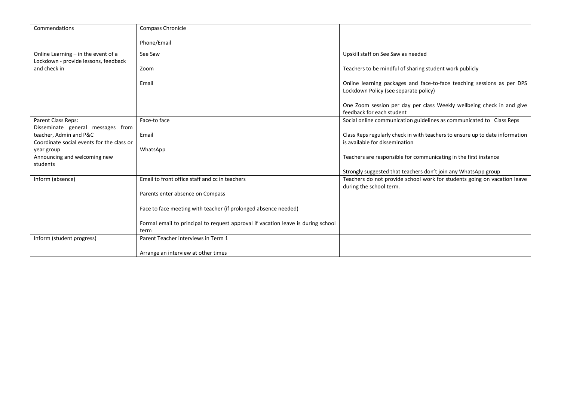| Commendations                                        | Compass Chronicle                                                                |                                                                                                                 |
|------------------------------------------------------|----------------------------------------------------------------------------------|-----------------------------------------------------------------------------------------------------------------|
|                                                      | Phone/Email                                                                      |                                                                                                                 |
|                                                      |                                                                                  |                                                                                                                 |
| Online Learning - in the event of a                  | See Saw                                                                          | Upskill staff on See Saw as needed                                                                              |
| Lockdown - provide lessons, feedback<br>and check in | Zoom                                                                             | Teachers to be mindful of sharing student work publicly                                                         |
|                                                      |                                                                                  |                                                                                                                 |
|                                                      | Email                                                                            | Online learning packages and face-to-face teaching sessions as per DPS<br>Lockdown Policy (see separate policy) |
|                                                      |                                                                                  | One Zoom session per day per class Weekly wellbeing check in and give<br>feedback for each student              |
| Parent Class Reps:                                   | Face-to face                                                                     | Social online communication guidelines as communicated to Class Reps                                            |
| Disseminate general messages from                    |                                                                                  |                                                                                                                 |
| teacher, Admin and P&C                               | Email                                                                            | Class Reps regularly check in with teachers to ensure up to date information                                    |
| Coordinate social events for the class or            |                                                                                  | is available for dissemination                                                                                  |
| year group<br>Announcing and welcoming new           | WhatsApp                                                                         | Teachers are responsible for communicating in the first instance                                                |
| students                                             |                                                                                  |                                                                                                                 |
|                                                      |                                                                                  | Strongly suggested that teachers don't join any WhatsApp group                                                  |
| Inform (absence)                                     | Email to front office staff and cc in teachers                                   | Teachers do not provide school work for students going on vacation leave<br>during the school term.             |
|                                                      | Parents enter absence on Compass                                                 |                                                                                                                 |
|                                                      | Face to face meeting with teacher (if prolonged absence needed)                  |                                                                                                                 |
|                                                      | Formal email to principal to request approval if vacation leave is during school |                                                                                                                 |
|                                                      | term                                                                             |                                                                                                                 |
| Inform (student progress)                            | Parent Teacher interviews in Term 1                                              |                                                                                                                 |
|                                                      | Arrange an interview at other times                                              |                                                                                                                 |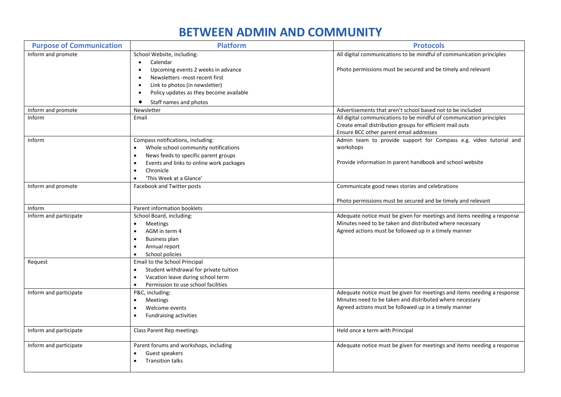### **BETWEEN ADMIN AND COMMUNITY**

| <b>Purpose of Communication</b> | <b>Platform</b>                                                                                | <b>Protocols</b>                                                                                             |
|---------------------------------|------------------------------------------------------------------------------------------------|--------------------------------------------------------------------------------------------------------------|
| Inform and promote              | School Website, including:<br>Calendar<br>$\bullet$                                            | All digital communications to be mindful of communication principles                                         |
|                                 | Upcoming events 2 weeks in advance<br>$\bullet$<br>Newsletters -most recent first<br>$\bullet$ | Photo permissions must be secured and be timely and relevant                                                 |
|                                 | Link to photos (in newsletter)<br>$\bullet$                                                    |                                                                                                              |
|                                 | Policy updates as they become available                                                        |                                                                                                              |
|                                 | Staff names and photos<br>٠                                                                    |                                                                                                              |
| Inform and promote              | Newsletter                                                                                     | Advertisements that aren't school based not to be included                                                   |
| Inform                          | Email                                                                                          | All digital communications to be mindful of communication principles                                         |
|                                 |                                                                                                | Create email distribution groups for efficient mail outs                                                     |
| Inform                          | Compass notifications, including:                                                              | Ensure BCC other parent email addresses<br>Admin team to provide support for Compass e.g. video tutorial and |
|                                 | Whole school community notifications<br>$\bullet$                                              | workshops                                                                                                    |
|                                 | News feeds to specific parent groups<br>$\bullet$                                              |                                                                                                              |
|                                 | Events and links to online work packages<br>$\bullet$                                          | Provide information in parent handbook and school website                                                    |
|                                 | Chronicle<br>$\bullet$                                                                         |                                                                                                              |
|                                 | 'This Week at a Glance'<br>$\bullet$                                                           |                                                                                                              |
| Inform and promote              | Facebook and Twitter posts                                                                     | Communicate good news stories and celebrations                                                               |
|                                 |                                                                                                | Photo permissions must be secured and be timely and relevant                                                 |
| Inform                          | Parent information booklets                                                                    |                                                                                                              |
| Inform and participate          | School Board, including:                                                                       | Adequate notice must be given for meetings and items needing a response                                      |
|                                 | <b>Meetings</b><br>$\bullet$                                                                   | Minutes need to be taken and distributed where necessary                                                     |
|                                 | AGM in term 4<br>$\bullet$                                                                     | Agreed actions must be followed up in a timely manner                                                        |
|                                 | <b>Business plan</b>                                                                           |                                                                                                              |
|                                 | Annual report<br>$\bullet$                                                                     |                                                                                                              |
|                                 | School policies<br>$\bullet$                                                                   |                                                                                                              |
| Request                         | Email to the School Principal<br>Student withdrawal for private tuition<br>$\bullet$           |                                                                                                              |
|                                 | Vacation leave during school term<br>$\bullet$                                                 |                                                                                                              |
|                                 | Permission to use school facilities<br>$\bullet$                                               |                                                                                                              |
| Inform and participate          | P&C, including:                                                                                | Adequate notice must be given for meetings and items needing a response                                      |
|                                 | <b>Meetings</b><br>$\bullet$                                                                   | Minutes need to be taken and distributed where necessary                                                     |
|                                 | Welcome events<br>$\bullet$                                                                    | Agreed actions must be followed up in a timely manner                                                        |
|                                 | <b>Fundraising activities</b><br>$\bullet$                                                     |                                                                                                              |
| Inform and participate          | <b>Class Parent Rep meetings</b>                                                               | Held once a term with Principal                                                                              |
|                                 |                                                                                                |                                                                                                              |
| Inform and participate          | Parent forums and workshops, including                                                         | Adequate notice must be given for meetings and items needing a response                                      |
|                                 | Guest speakers<br><b>Transition talks</b><br>$\bullet$                                         |                                                                                                              |
|                                 |                                                                                                |                                                                                                              |